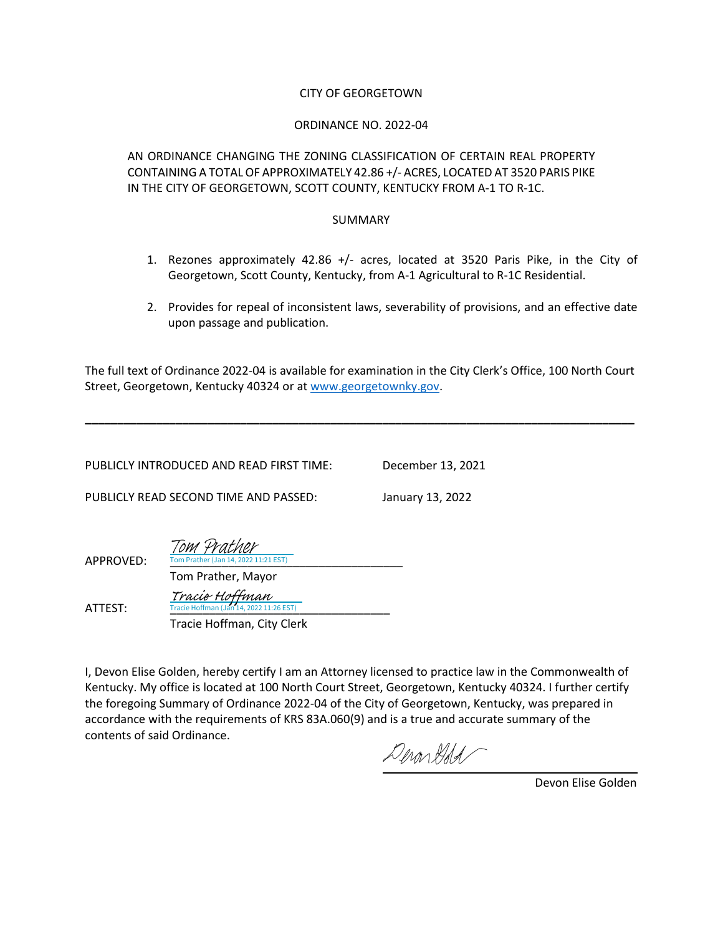#### CITY OF GEORGETOWN

#### ORDINANCE NO. 2022-04

AN ORDINANCE CHANGING THE ZONING CLASSIFICATION OF CERTAIN REAL PROPERTY CONTAINING A TOTAL OF APPROXIMATELY 42.86 +/- ACRES, LOCATED AT 3520 PARIS PIKE IN THE CITY OF GEORGETOWN, SCOTT COUNTY, KENTUCKY FROM A-1 TO R-1C.

#### SUMMARY

- 1. Rezones approximately 42.86 +/- acres, located at 3520 Paris Pike, in the City of Georgetown, Scott County, Kentucky, from A-1 Agricultural to R-1C Residential.
- 2. Provides for repeal of inconsistent laws, severability of provisions, and an effective date upon passage and publication.

The full text of Ordinance 2022-04 is available for examination in the City Clerk's Office, 100 North Court Street, Georgetown, Kentucky 40324 or at [www.georgetownky.gov.](http://www.georgetownky.gov/)

**\_\_\_\_\_\_\_\_\_\_\_\_\_\_\_\_\_\_\_\_\_\_\_\_\_\_\_\_\_\_\_\_\_\_\_\_\_\_\_\_\_\_\_\_\_\_\_\_\_\_\_\_\_\_\_\_\_\_\_\_\_\_\_\_\_\_\_\_\_\_\_\_\_\_\_\_\_\_\_\_\_\_\_\_\_**

| PUBLICLY INTRODUCED AND READ FIRST TIME: | December 13, 2021 |
|------------------------------------------|-------------------|
| PUBLICLY READ SECOND TIME AND PASSED:    | January 13, 2022  |
|                                          |                   |

| APPROVED: | Tom Prather<br>Tom Prather (Jan 14, 2022 11:21 EST)       |  |
|-----------|-----------------------------------------------------------|--|
|           | Tom Prather, Mayor                                        |  |
| ATTEST:   | Tracie Hoffman<br>Tracie Hoffman (Jan 14, 2022 11:26 EST) |  |

Tracie Hoffman, City Clerk

I, Devon Elise Golden, hereby certify I am an Attorney licensed to practice law in the Commonwealth of Kentucky. My office is located at 100 North Court Street, Georgetown, Kentucky 40324. I further certify the foregoing Summary of Ordinance 2022-04 of the City of Georgetown, Kentucky, was prepared in accordance with the requirements of KRS 83A.060(9) and is a true and accurate summary of the contents of said Ordinance.

Deronddel

Devon Elise Golden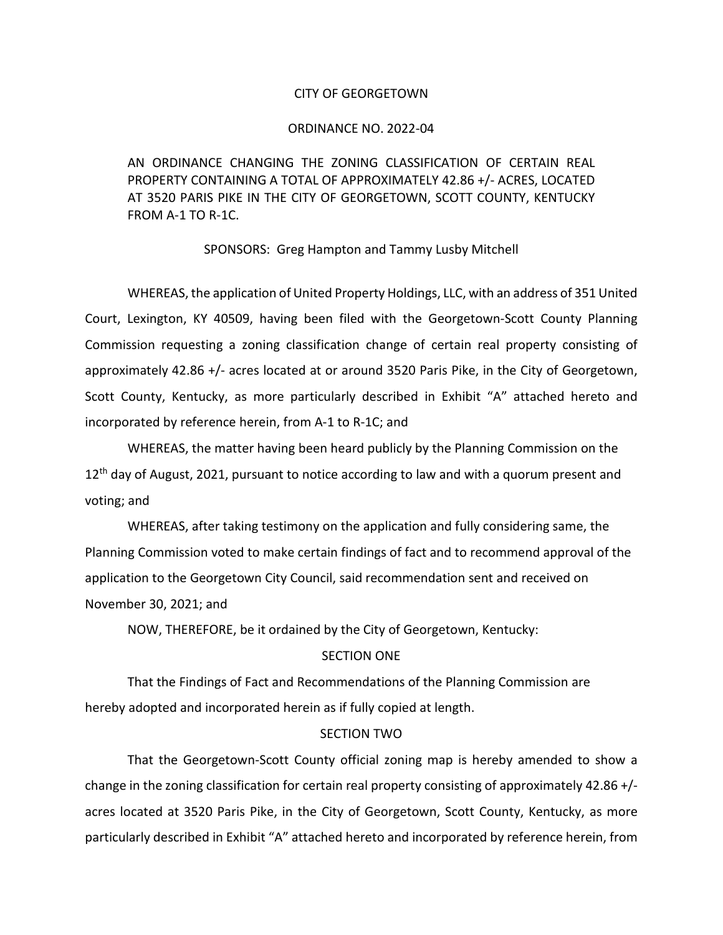#### CITY OF GEORGETOWN

#### ORDINANCE NO. 2022-04

AN ORDINANCE CHANGING THE ZONING CLASSIFICATION OF CERTAIN REAL PROPERTY CONTAINING A TOTAL OF APPROXIMATELY 42.86 +/- ACRES, LOCATED AT 3520 PARIS PIKE IN THE CITY OF GEORGETOWN, SCOTT COUNTY, KENTUCKY FROM A-1 TO R-1C.

#### SPONSORS: Greg Hampton and Tammy Lusby Mitchell

WHEREAS, the application of United Property Holdings, LLC, with an address of 351 United Court, Lexington, KY 40509, having been filed with the Georgetown-Scott County Planning Commission requesting a zoning classification change of certain real property consisting of approximately 42.86 +/- acres located at or around 3520 Paris Pike, in the City of Georgetown, Scott County, Kentucky, as more particularly described in Exhibit "A" attached hereto and incorporated by reference herein, from A-1 to R-1C; and

WHEREAS, the matter having been heard publicly by the Planning Commission on the  $12<sup>th</sup>$  day of August, 2021, pursuant to notice according to law and with a quorum present and voting; and

WHEREAS, after taking testimony on the application and fully considering same, the Planning Commission voted to make certain findings of fact and to recommend approval of the application to the Georgetown City Council, said recommendation sent and received on November 30, 2021; and

NOW, THEREFORE, be it ordained by the City of Georgetown, Kentucky:

#### SECTION ONE

That the Findings of Fact and Recommendations of the Planning Commission are hereby adopted and incorporated herein as if fully copied at length.

#### SECTION TWO

That the Georgetown-Scott County official zoning map is hereby amended to show a change in the zoning classification for certain real property consisting of approximately 42.86 +/ acres located at 3520 Paris Pike, in the City of Georgetown, Scott County, Kentucky, as more particularly described in Exhibit "A" attached hereto and incorporated by reference herein, from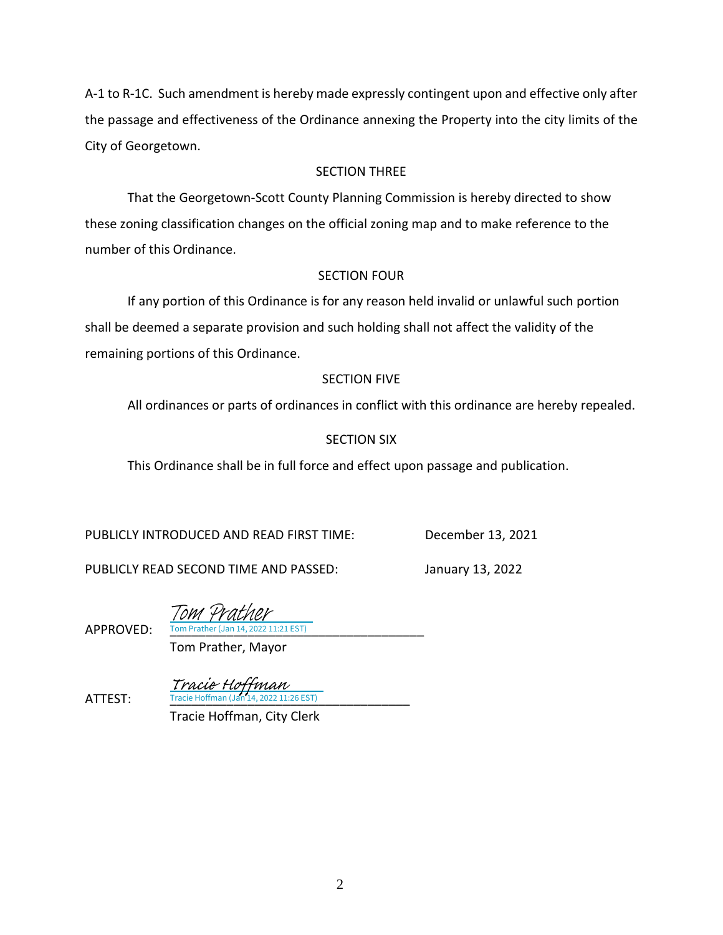A-1 to R-1C. Such amendment is hereby made expressly contingent upon and effective only after the passage and effectiveness of the Ordinance annexing the Property into the city limits of the City of Georgetown.

# SECTION THREE

That the Georgetown-Scott County Planning Commission is hereby directed to show these zoning classification changes on the official zoning map and to make reference to the number of this Ordinance.

### SECTION FOUR

If any portion of this Ordinance is for any reason held invalid or unlawful such portion shall be deemed a separate provision and such holding shall not affect the validity of the remaining portions of this Ordinance.

# SECTION FIVE

All ordinances or parts of ordinances in conflict with this ordinance are hereby repealed.

# SECTION SIX

This Ordinance shall be in full force and effect upon passage and publication.

PUBLICLY INTRODUCED AND READ FIRST TIME: December 13, 2021

PUBLICLY READ SECOND TIME AND PASSED: January 13, 2022

Tom Prather

APPROVED: Tom Prather (Jan 14, 2022 11:21 EST)

Tom Prather, Mayor

**ATTEST:** Tracie Hoffman (Jan 14, 2022 11:26 EST) Tracie Hoffman

Tracie Hoffman, City Clerk